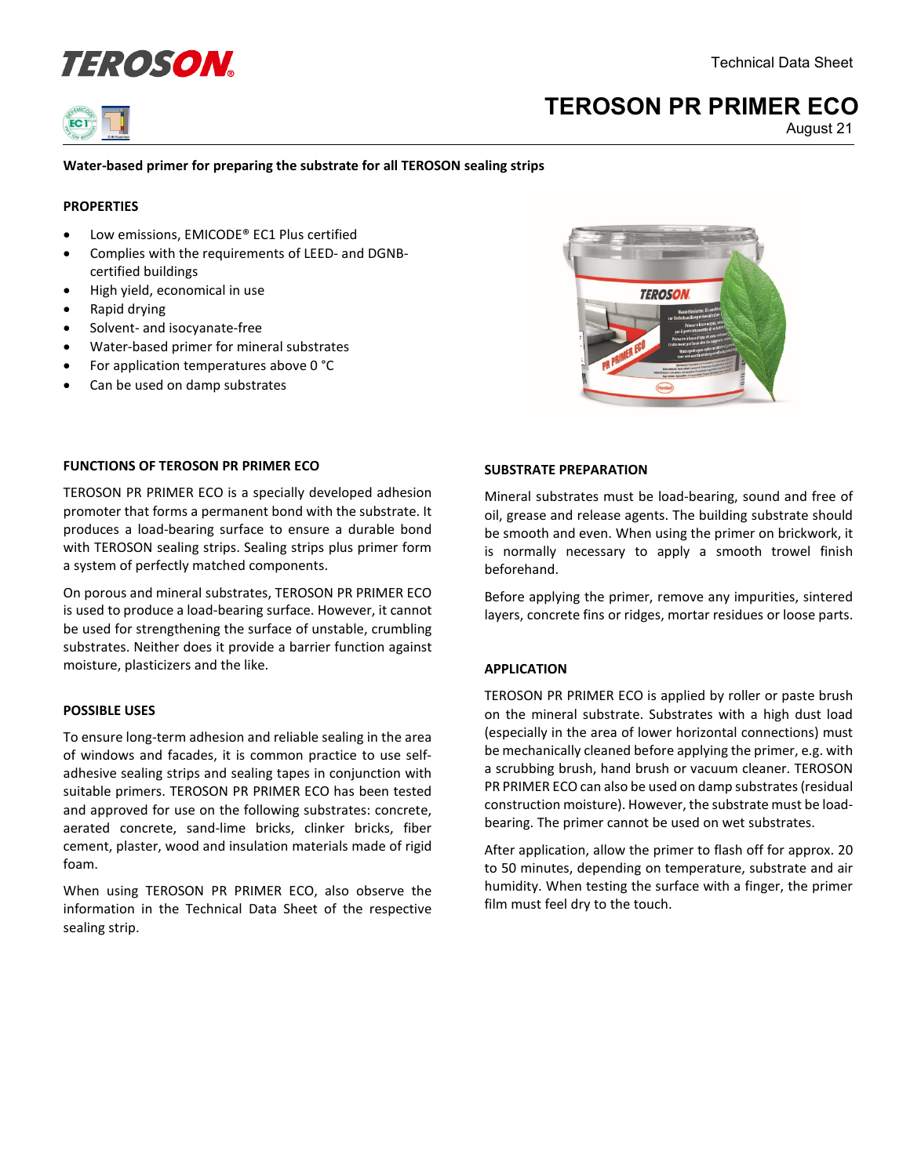



# **TEROSON PR PRIMER ECO**

August 21

### **Water-based primer for preparing the substrate for all TEROSON sealing strips**

### **PROPERTIES**

- Low emissions, EMICODE® EC1 Plus certified
- Complies with the requirements of LEED- and DGNBcertified buildings
- High yield, economical in use
- Rapid drying
- Solvent- and isocyanate-free
- Water-based primer for mineral substrates
- For application temperatures above 0 °C
- Can be used on damp substrates



### **FUNCTIONS OF TEROSON PR PRIMER ECO**

TEROSON PR PRIMER ECO is a specially developed adhesion promoter that forms a permanent bond with the substrate. It produces a load-bearing surface to ensure a durable bond with TEROSON sealing strips. Sealing strips plus primer form a system of perfectly matched components.

On porous and mineral substrates, TEROSON PR PRIMER ECO is used to produce a load-bearing surface. However, it cannot be used for strengthening the surface of unstable, crumbling substrates. Neither does it provide a barrier function against moisture, plasticizers and the like.

### **POSSIBLE USES**

To ensure long-term adhesion and reliable sealing in the area of windows and facades, it is common practice to use selfadhesive sealing strips and sealing tapes in conjunction with suitable primers. TEROSON PR PRIMER ECO has been tested and approved for use on the following substrates: concrete, aerated concrete, sand-lime bricks, clinker bricks, fiber cement, plaster, wood and insulation materials made of rigid foam.

When using TEROSON PR PRIMER ECO, also observe the information in the Technical Data Sheet of the respective sealing strip.

#### **SUBSTRATE PREPARATION**

Mineral substrates must be load-bearing, sound and free of oil, grease and release agents. The building substrate should be smooth and even. When using the primer on brickwork, it is normally necessary to apply a smooth trowel finish beforehand.

Before applying the primer, remove any impurities, sintered layers, concrete fins or ridges, mortar residues or loose parts.

### **APPLICATION**

TEROSON PR PRIMER ECO is applied by roller or paste brush on the mineral substrate. Substrates with a high dust load (especially in the area of lower horizontal connections) must be mechanically cleaned before applying the primer, e.g. with a scrubbing brush, hand brush or vacuum cleaner. TEROSON PR PRIMER ECO can also be used on damp substrates(residual construction moisture). However, the substrate must be loadbearing. The primer cannot be used on wet substrates.

After application, allow the primer to flash off for approx. 20 to 50 minutes, depending on temperature, substrate and air humidity. When testing the surface with a finger, the primer film must feel dry to the touch.